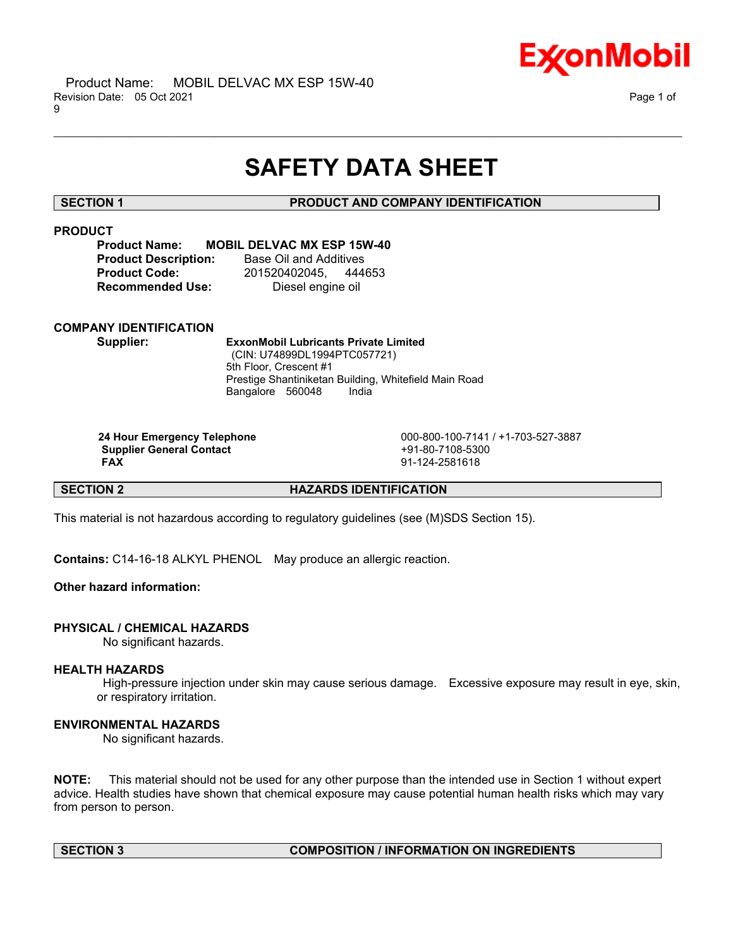

# **SAFETY DATA SHEET**

\_\_\_\_\_\_\_\_\_\_\_\_\_\_\_\_\_\_\_\_\_\_\_\_\_\_\_\_\_\_\_\_\_\_\_\_\_\_\_\_\_\_\_\_\_\_\_\_\_\_\_\_\_\_\_\_\_\_\_\_\_\_\_\_\_\_\_\_\_\_\_\_\_\_\_\_\_\_\_\_\_\_\_\_\_\_\_\_\_\_\_\_\_\_\_\_\_\_\_\_\_\_\_\_\_\_\_\_\_\_\_\_\_\_\_\_\_\_

### **SECTION 1 PRODUCT AND COMPANY IDENTIFICATION**

# **PRODUCT**

### **Product Name: MOBIL DELVAC MX ESP 15W-40**

**Product Description:** Base Oil and Additives **Recommended Use:** Diesel engine oil

**Product Code:** 201520402045, 444653

### **COMPANY IDENTIFICATION**

**Supplier: ExxonMobil Lubricants Private Limited** (CIN: U74899DL1994PTC057721) 5th Floor, Crescent #1 Prestige Shantiniketan Building, Whitefield Main Road Bangalore 560048 India

**Supplier General Contact** +91-80-7108-5300

**24 Hour Emergency Telephone** 000-800-100-7141 / +1-703-527-3887 **FAX** 91-124-2581618

**SECTION 2 HAZARDS IDENTIFICATION**

This material is not hazardous according to regulatory guidelines (see (M)SDS Section 15).

**Contains:** C14-16-18 ALKYL PHENOL May produce an allergic reaction.

# **Other hazard information:**

### **PHYSICAL / CHEMICAL HAZARDS**

No significant hazards.

### **HEALTH HAZARDS**

High-pressure injection under skin may cause serious damage. Excessive exposure may result in eye, skin, or respiratory irritation.

### **ENVIRONMENTAL HAZARDS**

No significant hazards.

**NOTE:** This material should not be used for any other purpose than the intended use in Section 1 without expert advice. Health studies have shown that chemical exposure may cause potential human health risks which may vary from person to person.

# **SECTION 3 COMPOSITION / INFORMATION ON INGREDIENTS**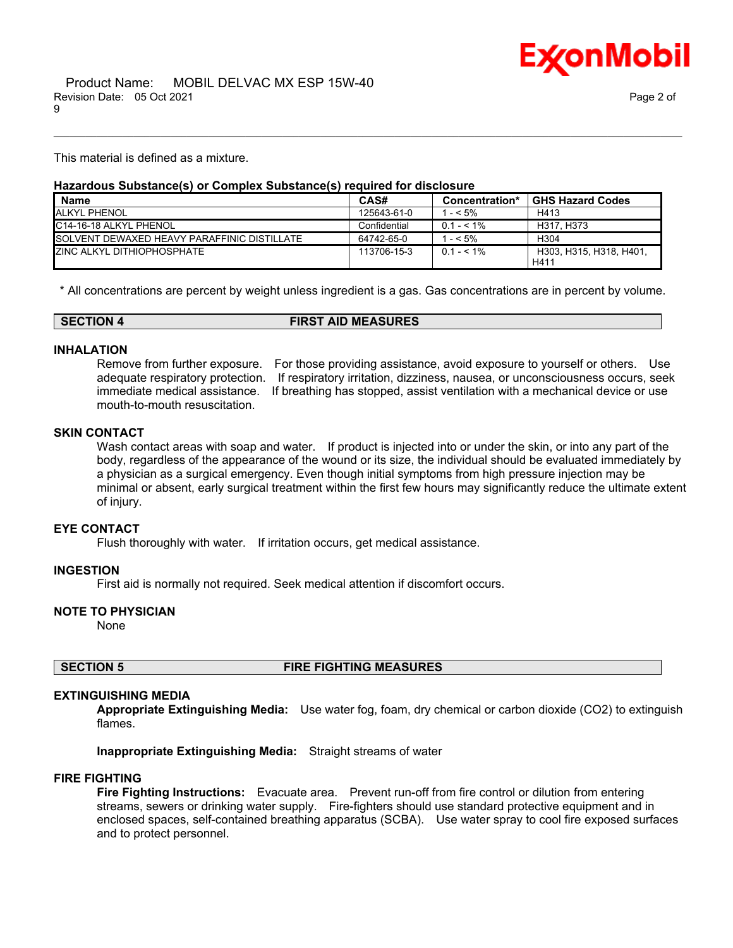

This material is defined as a mixture.

#### **Hazardous Substance(s) or Complex Substance(s) required for disclosure**

| <b>Name</b>                                         | CAS#         | Concentration* | <b>GHS Hazard Codes</b>         |
|-----------------------------------------------------|--------------|----------------|---------------------------------|
| <b>ALKYL PHENOL</b>                                 | 125643-61-0  | $- < 5\%$      | H413                            |
| C14-16-18 ALKYL PHENOL                              | Confidential | $0.1 - 5.1\%$  | H317, H373                      |
| <b>ISOLVENT DEWAXED HEAVY PARAFFINIC DISTILLATE</b> | 64742-65-0   | $- < 5\%$      | H <sub>304</sub>                |
| <b>ZINC ALKYL DITHIOPHOSPHATE</b>                   | 113706-15-3  | $0.1 - 5.1\%$  | H303, H315, H318, H401.<br>H411 |

\_\_\_\_\_\_\_\_\_\_\_\_\_\_\_\_\_\_\_\_\_\_\_\_\_\_\_\_\_\_\_\_\_\_\_\_\_\_\_\_\_\_\_\_\_\_\_\_\_\_\_\_\_\_\_\_\_\_\_\_\_\_\_\_\_\_\_\_\_\_\_\_\_\_\_\_\_\_\_\_\_\_\_\_\_\_\_\_\_\_\_\_\_\_\_\_\_\_\_\_\_\_\_\_\_\_\_\_\_\_\_\_\_\_\_\_\_\_

\* All concentrations are percent by weight unless ingredient is a gas. Gas concentrations are in percent by volume.

|--|

#### **INHALATION**

Remove from further exposure. For those providing assistance, avoid exposure to yourself or others. Use adequate respiratory protection. If respiratory irritation, dizziness, nausea, or unconsciousness occurs, seek immediate medical assistance. If breathing has stopped, assist ventilation with a mechanical device or use mouth-to-mouth resuscitation.

#### **SKIN CONTACT**

Wash contact areas with soap and water. If product is injected into or under the skin, or into any part of the body, regardless of the appearance of the wound or its size, the individual should be evaluated immediately by a physician as a surgical emergency. Even though initial symptoms from high pressure injection may be minimal or absent, early surgical treatment within the first few hours may significantly reduce the ultimate extent of injury.

#### **EYE CONTACT**

Flush thoroughly with water. If irritation occurs, get medical assistance.

#### **INGESTION**

First aid is normally not required. Seek medical attention if discomfort occurs.

# **NOTE TO PHYSICIAN**

None

#### **SECTION 5 FIRE FIGHTING MEASURES**

#### **EXTINGUISHING MEDIA**

**Appropriate Extinguishing Media:** Use water fog, foam, dry chemical or carbon dioxide (CO2) to extinguish flames.

**Inappropriate Extinguishing Media:** Straight streams of water

#### **FIRE FIGHTING**

**Fire Fighting Instructions:** Evacuate area. Prevent run-off from fire control or dilution from entering streams, sewers or drinking water supply. Fire-fighters should use standard protective equipment and in enclosed spaces, self-contained breathing apparatus (SCBA). Use water spray to cool fire exposed surfaces and to protect personnel.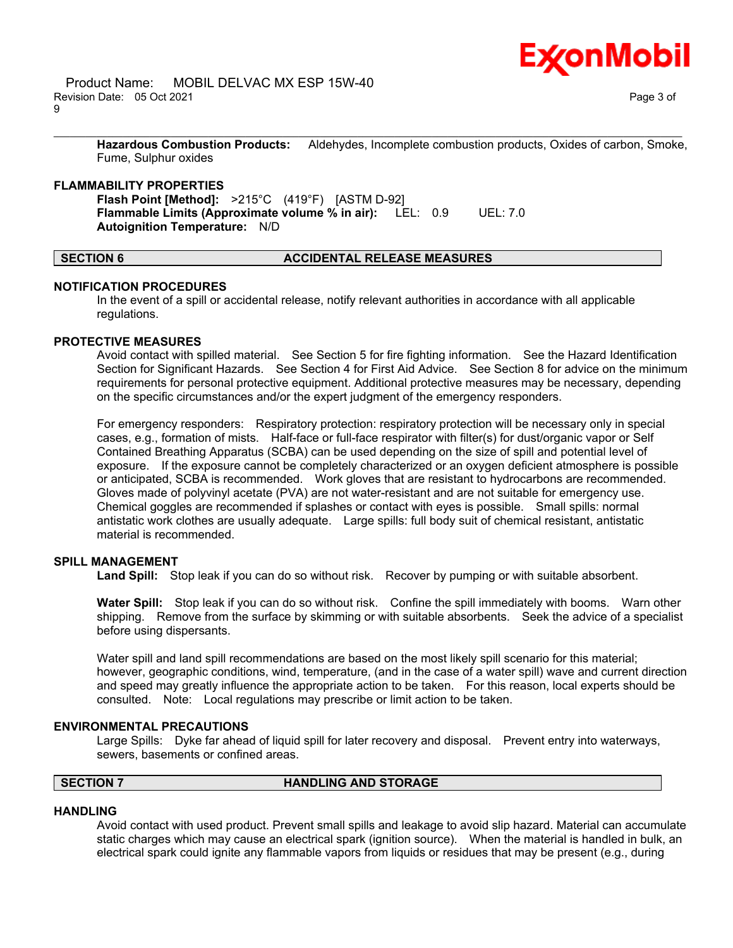

**Hazardous Combustion Products:** Aldehydes, Incomplete combustion products, Oxides of carbon, Smoke, Fume, Sulphur oxides

\_\_\_\_\_\_\_\_\_\_\_\_\_\_\_\_\_\_\_\_\_\_\_\_\_\_\_\_\_\_\_\_\_\_\_\_\_\_\_\_\_\_\_\_\_\_\_\_\_\_\_\_\_\_\_\_\_\_\_\_\_\_\_\_\_\_\_\_\_\_\_\_\_\_\_\_\_\_\_\_\_\_\_\_\_\_\_\_\_\_\_\_\_\_\_\_\_\_\_\_\_\_\_\_\_\_\_\_\_\_\_\_\_\_\_\_\_\_

#### **FLAMMABILITY PROPERTIES**

**Flash Point [Method]:** >215°C (419°F) [ASTM D-92] **Flammable Limits (Approximate volume % in air):** LEL: 0.9 UEL: 7.0 **Autoignition Temperature:** N/D

### **SECTION 6 ACCIDENTAL RELEASE MEASURES**

#### **NOTIFICATION PROCEDURES**

In the event of a spill or accidental release, notify relevant authorities in accordance with all applicable regulations.

#### **PROTECTIVE MEASURES**

Avoid contact with spilled material. See Section 5 for fire fighting information. See the Hazard Identification Section for Significant Hazards. See Section 4 for First Aid Advice. See Section 8 for advice on the minimum requirements for personal protective equipment. Additional protective measures may be necessary, depending on the specific circumstances and/or the expert judgment of the emergency responders.

For emergency responders: Respiratory protection: respiratory protection will be necessary only in special cases, e.g., formation of mists. Half-face or full-face respirator with filter(s) for dust/organic vapor or Self Contained Breathing Apparatus (SCBA) can be used depending on the size of spill and potential level of exposure. If the exposure cannot be completely characterized or an oxygen deficient atmosphere is possible or anticipated, SCBA is recommended. Work gloves that are resistant to hydrocarbons are recommended. Gloves made of polyvinyl acetate (PVA) are not water-resistant and are not suitable for emergency use. Chemical goggles are recommended if splashes or contact with eyes is possible. Small spills: normal antistatic work clothes are usually adequate. Large spills: full body suit of chemical resistant, antistatic material is recommended.

### **SPILL MANAGEMENT**

**Land Spill:** Stop leak if you can do so without risk. Recover by pumping or with suitable absorbent.

**Water Spill:** Stop leak if you can do so without risk. Confine the spill immediately with booms. Warn other shipping. Remove from the surface by skimming or with suitable absorbents. Seek the advice of a specialist before using dispersants.

Water spill and land spill recommendations are based on the most likely spill scenario for this material; however, geographic conditions, wind, temperature, (and in the case of a water spill) wave and current direction and speed may greatly influence the appropriate action to be taken. For this reason, local experts should be consulted. Note: Local regulations may prescribe or limit action to be taken.

#### **ENVIRONMENTAL PRECAUTIONS**

Large Spills: Dyke far ahead of liquid spill for later recovery and disposal. Prevent entry into waterways, sewers, basements or confined areas.

### **SECTION 7 HANDLING AND STORAGE**

#### **HANDLING**

Avoid contact with used product. Prevent small spills and leakage to avoid slip hazard. Material can accumulate static charges which may cause an electrical spark (ignition source). When the material is handled in bulk, an electrical spark could ignite any flammable vapors from liquids or residues that may be present (e.g., during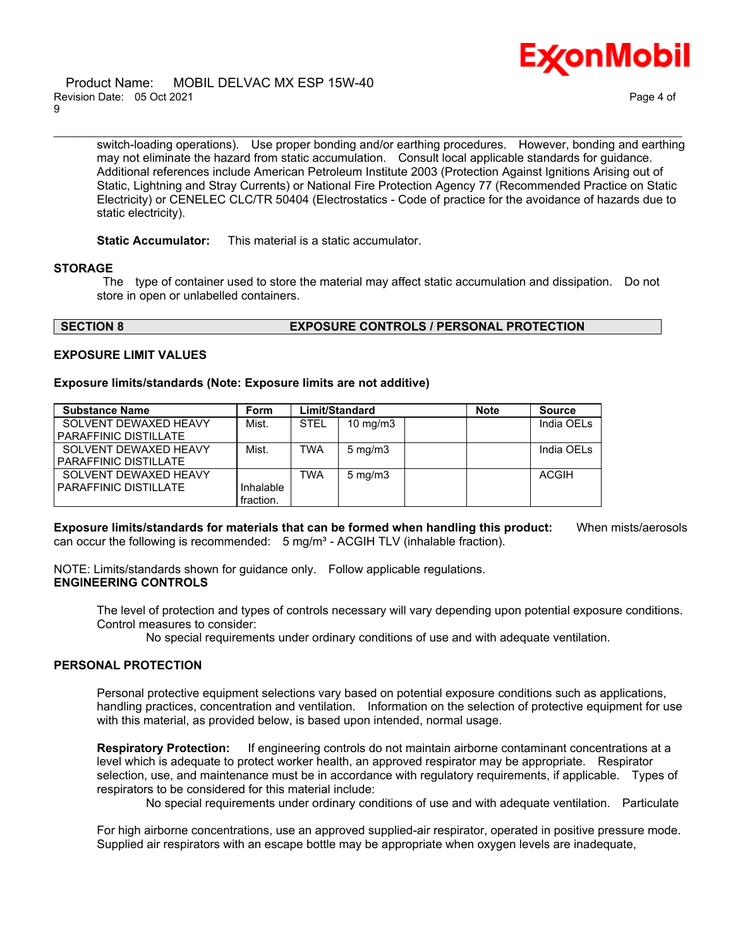

#### Product Name: MOBIL DELVAC MX ESP 15W-40 Revision Date: 05 Oct 2021 Page 4 of 9

switch-loading operations). Use proper bonding and/or earthing procedures. However, bonding and earthing may not eliminate the hazard from static accumulation. Consult local applicable standards for guidance. Additional references include American Petroleum Institute 2003 (Protection Against Ignitions Arising out of Static, Lightning and Stray Currents) or National Fire Protection Agency 77 (Recommended Practice on Static Electricity) or CENELEC CLC/TR 50404 (Electrostatics - Code of practice for the avoidance of hazards due to static electricity).

\_\_\_\_\_\_\_\_\_\_\_\_\_\_\_\_\_\_\_\_\_\_\_\_\_\_\_\_\_\_\_\_\_\_\_\_\_\_\_\_\_\_\_\_\_\_\_\_\_\_\_\_\_\_\_\_\_\_\_\_\_\_\_\_\_\_\_\_\_\_\_\_\_\_\_\_\_\_\_\_\_\_\_\_\_\_\_\_\_\_\_\_\_\_\_\_\_\_\_\_\_\_\_\_\_\_\_\_\_\_\_\_\_\_\_\_\_\_

**Static Accumulator:** This material is a static accumulator.

#### **STORAGE**

The type of container used to store the material may affect static accumulation and dissipation. Do not store in open or unlabelled containers.

#### **SECTION 8 EXPOSURE CONTROLS / PERSONAL PROTECTION**

#### **EXPOSURE LIMIT VALUES**

#### **Exposure limits/standards (Note: Exposure limits are not additive)**

| <b>Substance Name</b>        | <b>Form</b> | Limit/Standard |                   | <b>Note</b> | <b>Source</b>          |
|------------------------------|-------------|----------------|-------------------|-------------|------------------------|
| SOLVENT DEWAXED HEAVY        | Mist.       | <b>STEL</b>    | $10 \text{ mg/m}$ |             | India OEL <sub>s</sub> |
| <b>PARAFFINIC DISTILLATE</b> |             |                |                   |             |                        |
| SOLVENT DEWAXED HEAVY        | Mist.       | <b>TWA</b>     | $5 \text{ mg/m}$  |             | India OEL <sub>s</sub> |
| PARAFFINIC DISTILLATE        |             |                |                   |             |                        |
| SOLVENT DEWAXED HEAVY        |             | TWA            | $5 \text{ mg/m}$  |             | <b>ACGIH</b>           |
| PARAFFINIC DISTILLATE        | Inhalable   |                |                   |             |                        |
|                              | fraction.   |                |                   |             |                        |

**Exposure limits/standards for materials that can be formed when handling this product:** When mists/aerosols can occur the following is recommended:  $5 \text{ mg/m}^3$  - ACGIH TLV (inhalable fraction).

NOTE: Limits/standards shown for guidance only. Follow applicable regulations. **ENGINEERING CONTROLS**

The level of protection and types of controls necessary will vary depending upon potential exposure conditions. Control measures to consider:

No special requirements under ordinary conditions of use and with adequate ventilation.

#### **PERSONAL PROTECTION**

Personal protective equipment selections vary based on potential exposure conditions such as applications, handling practices, concentration and ventilation. Information on the selection of protective equipment for use with this material, as provided below, is based upon intended, normal usage.

**Respiratory Protection:** If engineering controls do not maintain airborne contaminant concentrations at a level which is adequate to protect worker health, an approved respirator may be appropriate. Respirator selection, use, and maintenance must be in accordance with regulatory requirements, if applicable. Types of respirators to be considered for this material include:

No special requirements under ordinary conditions of use and with adequate ventilation. Particulate

For high airborne concentrations, use an approved supplied-air respirator, operated in positive pressure mode. Supplied air respirators with an escape bottle may be appropriate when oxygen levels are inadequate,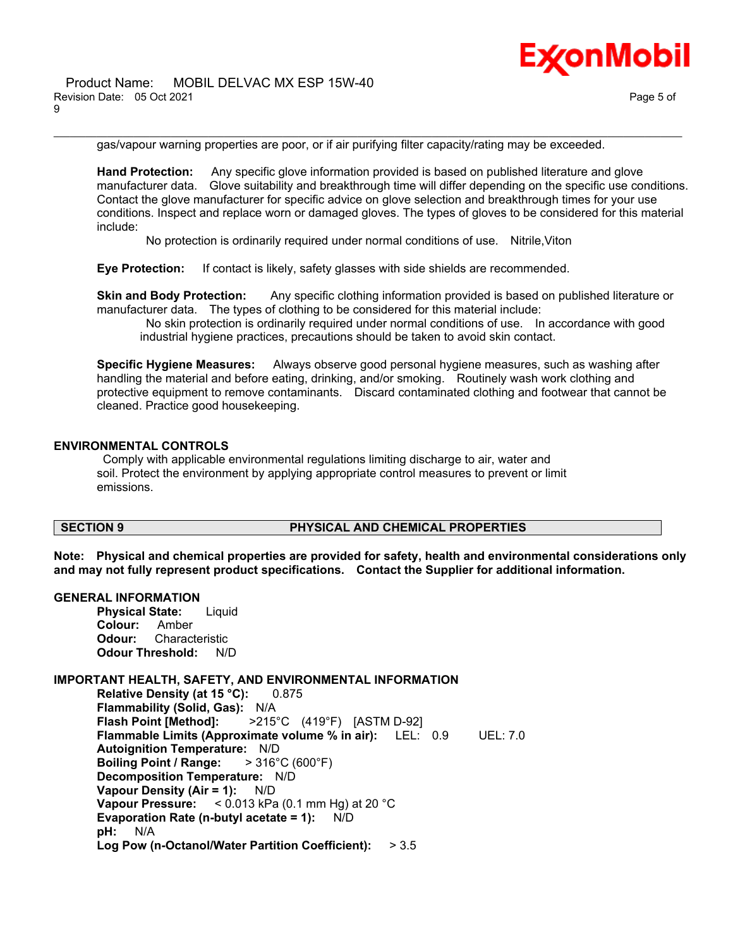

gas/vapour warning properties are poor, or if air purifying filter capacity/rating may be exceeded.

\_\_\_\_\_\_\_\_\_\_\_\_\_\_\_\_\_\_\_\_\_\_\_\_\_\_\_\_\_\_\_\_\_\_\_\_\_\_\_\_\_\_\_\_\_\_\_\_\_\_\_\_\_\_\_\_\_\_\_\_\_\_\_\_\_\_\_\_\_\_\_\_\_\_\_\_\_\_\_\_\_\_\_\_\_\_\_\_\_\_\_\_\_\_\_\_\_\_\_\_\_\_\_\_\_\_\_\_\_\_\_\_\_\_\_\_\_\_

**Hand Protection:** Any specific glove information provided is based on published literature and glove manufacturer data. Glove suitability and breakthrough time will differ depending on the specific use conditions. Contact the glove manufacturer for specific advice on glove selection and breakthrough times for your use conditions. Inspect and replace worn or damaged gloves. The types of gloves to be considered for this material include:

No protection is ordinarily required under normal conditions of use. Nitrile,Viton

**Eye Protection:** If contact is likely, safety glasses with side shields are recommended.

**Skin and Body Protection:** Any specific clothing information provided is based on published literature or manufacturer data. The types of clothing to be considered for this material include:

No skin protection is ordinarily required under normal conditions of use. In accordance with good industrial hygiene practices, precautions should be taken to avoid skin contact.

**Specific Hygiene Measures:** Always observe good personal hygiene measures, such as washing after handling the material and before eating, drinking, and/or smoking. Routinely wash work clothing and protective equipment to remove contaminants. Discard contaminated clothing and footwear that cannot be cleaned. Practice good housekeeping.

#### **ENVIRONMENTAL CONTROLS**

Comply with applicable environmental regulations limiting discharge to air, water and soil. Protect the environment by applying appropriate control measures to prevent or limit emissions.

# **SECTION 9 PHYSICAL AND CHEMICAL PROPERTIES**

**Note: Physical and chemical properties are provided for safety, health and environmental considerations only and may not fully represent product specifications. Contact the Supplier for additional information.**

#### **GENERAL INFORMATION**

**Physical State:** Liquid **Colour:** Amber **Odour:** Characteristic **Odour Threshold:** N/D

### **IMPORTANT HEALTH, SAFETY, AND ENVIRONMENTAL INFORMATION**

**Relative Density (at 15 °C):** 0.875 **Flammability (Solid, Gas):** N/A **Flash Point [Method]:** >215°C (419°F) [ASTM D-92] **Flammable Limits (Approximate volume % in air):** LEL: 0.9 UEL: 7.0 **Autoignition Temperature:** N/D **Boiling Point / Range:** > 316°C (600°F) **Decomposition Temperature:** N/D **Vapour Density (Air = 1):** N/D **Vapour Pressure:** < 0.013 kPa (0.1 mm Hg) at 20 °C **Evaporation Rate (n-butyl acetate = 1):** N/D **pH:** N/A **Log Pow (n-Octanol/Water Partition Coefficient):** > 3.5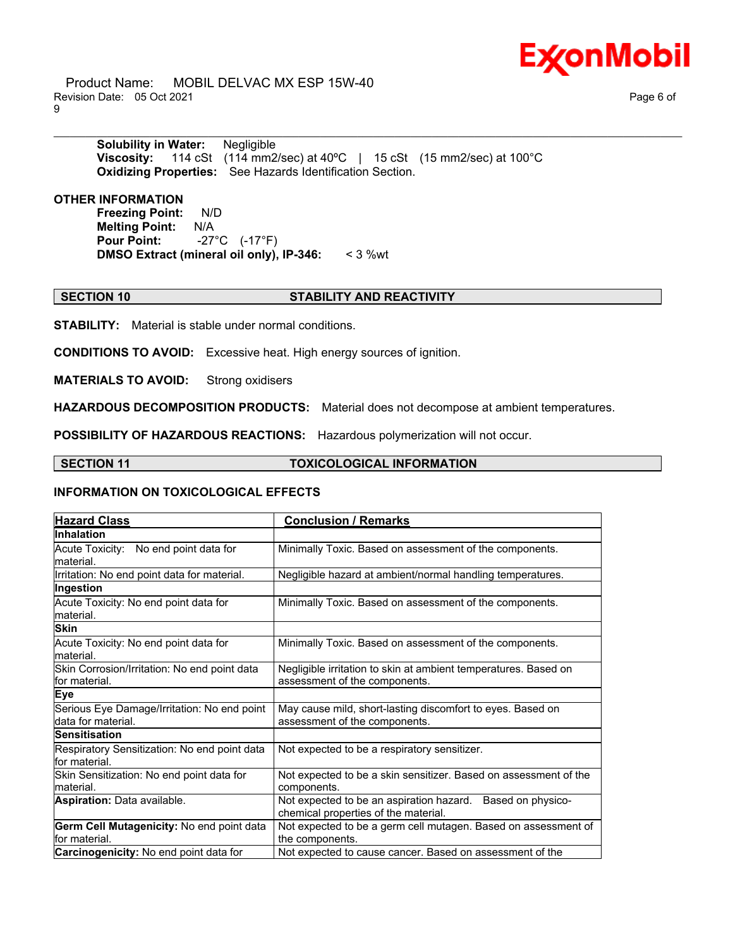

 Product Name: MOBIL DELVAC MX ESP 15W-40 Revision Date: 05 Oct 2021 Page 6 of 9

**Solubility in Water:** Negligible **Viscosity:** 114 cSt (114 mm2/sec) at 40ºC | 15 cSt (15 mm2/sec) at 100°C **Oxidizing Properties:** See Hazards Identification Section.

**OTHER INFORMATION**

**Freezing Point:** N/D **Melting Point:** N/A **Pour Point:** -27°C (-17°F) **DMSO Extract (mineral oil only), IP-346:** < 3 %wt

### **SECTION 10 STABILITY AND REACTIVITY**

\_\_\_\_\_\_\_\_\_\_\_\_\_\_\_\_\_\_\_\_\_\_\_\_\_\_\_\_\_\_\_\_\_\_\_\_\_\_\_\_\_\_\_\_\_\_\_\_\_\_\_\_\_\_\_\_\_\_\_\_\_\_\_\_\_\_\_\_\_\_\_\_\_\_\_\_\_\_\_\_\_\_\_\_\_\_\_\_\_\_\_\_\_\_\_\_\_\_\_\_\_\_\_\_\_\_\_\_\_\_\_\_\_\_\_\_\_\_

**STABILITY:** Material is stable under normal conditions.

**CONDITIONS TO AVOID:** Excessive heat. High energy sources of ignition.

**MATERIALS TO AVOID:** Strong oxidisers

**HAZARDOUS DECOMPOSITION PRODUCTS:** Material does not decompose at ambient temperatures.

**POSSIBILITY OF HAZARDOUS REACTIONS:** Hazardous polymerization will not occur.

### **SECTION 11 TOXICOLOGICAL INFORMATION**

### **INFORMATION ON TOXICOLOGICAL EFFECTS**

| <b>Hazard Class</b>                                               | <b>Conclusion / Remarks</b>                                                                        |  |
|-------------------------------------------------------------------|----------------------------------------------------------------------------------------------------|--|
| Inhalation                                                        |                                                                                                    |  |
| Acute Toxicity: No end point data for<br>material.                | Minimally Toxic. Based on assessment of the components.                                            |  |
| Irritation: No end point data for material.                       | Negligible hazard at ambient/normal handling temperatures.                                         |  |
| Ingestion                                                         |                                                                                                    |  |
| Acute Toxicity: No end point data for<br>material.                | Minimally Toxic. Based on assessment of the components.                                            |  |
| <b>Skin</b>                                                       |                                                                                                    |  |
| Acute Toxicity: No end point data for<br>material.                | Minimally Toxic. Based on assessment of the components.                                            |  |
| Skin Corrosion/Irritation: No end point data<br>for material.     | Negligible irritation to skin at ambient temperatures. Based on<br>assessment of the components.   |  |
| <b>Eye</b>                                                        |                                                                                                    |  |
| Serious Eye Damage/Irritation: No end point<br>data for material. | May cause mild, short-lasting discomfort to eyes. Based on<br>assessment of the components.        |  |
| <b>Sensitisation</b>                                              |                                                                                                    |  |
| Respiratory Sensitization: No end point data<br>for material.     | Not expected to be a respiratory sensitizer.                                                       |  |
| Skin Sensitization: No end point data for<br>material.            | Not expected to be a skin sensitizer. Based on assessment of the<br>components.                    |  |
| <b>Aspiration: Data available.</b>                                | Not expected to be an aspiration hazard. Based on physico-<br>chemical properties of the material. |  |
| Germ Cell Mutagenicity: No end point data<br>for material.        | Not expected to be a germ cell mutagen. Based on assessment of<br>the components.                  |  |
| Carcinogenicity: No end point data for                            | Not expected to cause cancer. Based on assessment of the                                           |  |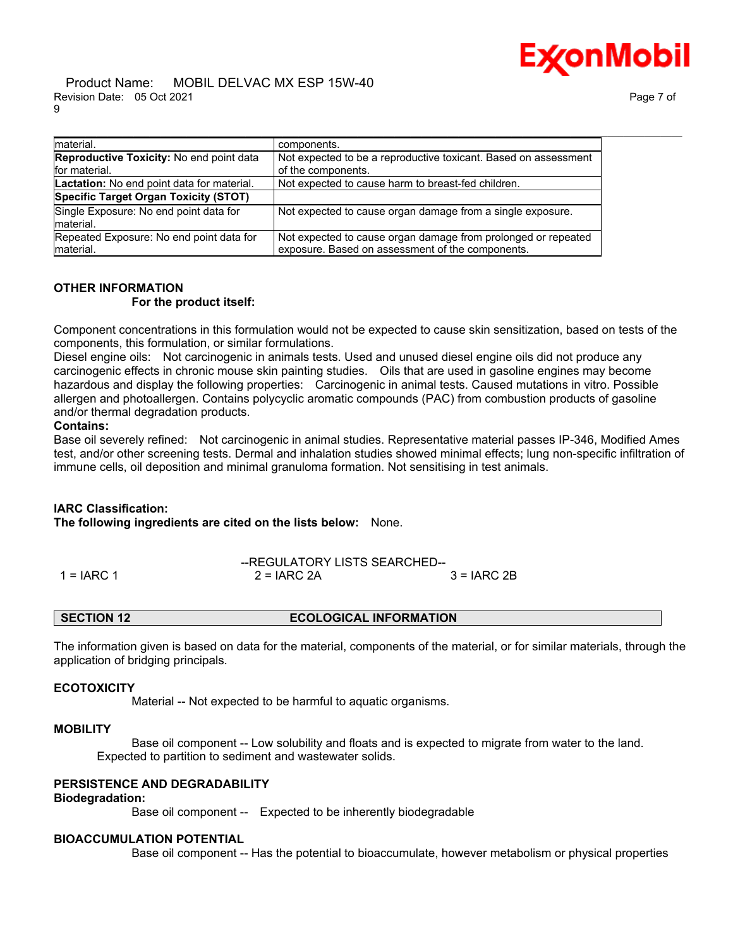

#### Product Name: MOBIL DELVAC MX ESP 15W-40 Revision Date: 05 Oct 2021 Page 7 of 9

| Imaterial.                                          | components.                                                     |
|-----------------------------------------------------|-----------------------------------------------------------------|
| <b>Reproductive Toxicity: No end point data</b>     | Not expected to be a reproductive toxicant. Based on assessment |
| for material.                                       | of the components.                                              |
| Lactation: No end point data for material.          | Not expected to cause harm to breast-fed children.              |
| Specific Target Organ Toxicity (STOT)               |                                                                 |
| Single Exposure: No end point data for<br>material. | Not expected to cause organ damage from a single exposure.      |
| Repeated Exposure: No end point data for            | Not expected to cause organ damage from prolonged or repeated   |
| Imaterial.                                          | exposure. Based on assessment of the components.                |

# **OTHER INFORMATION**

### **For the product itself:**

Component concentrations in this formulation would not be expected to cause skin sensitization, based on tests of the components, this formulation, or similar formulations.

Diesel engine oils: Not carcinogenic in animals tests. Used and unused diesel engine oils did not produce any carcinogenic effects in chronic mouse skin painting studies. Oils that are used in gasoline engines may become hazardous and display the following properties: Carcinogenic in animal tests. Caused mutations in vitro. Possible allergen and photoallergen. Contains polycyclic aromatic compounds (PAC) from combustion products of gasoline and/or thermal degradation products.

### **Contains:**

Base oil severely refined: Not carcinogenic in animal studies. Representative material passes IP-346, Modified Ames test, and/or other screening tests. Dermal and inhalation studies showed minimal effects; lung non-specific infiltration of immune cells, oil deposition and minimal granuloma formation. Not sensitising in test animals.

### **IARC Classification:**

**The following ingredients are cited on the lists below:** None.

|              | --REGULATORY LISTS SEARCHED-- |              |
|--------------|-------------------------------|--------------|
| $1 = IARC 1$ | $2 = IARC 2A$                 | $3 = IARC2B$ |

**SECTION 12 ECOLOGICAL INFORMATION**

The information given is based on data for the material, components of the material, or for similar materials, through the application of bridging principals.

### **ECOTOXICITY**

Material -- Not expected to be harmful to aquatic organisms.

#### **MOBILITY**

 Base oil component -- Low solubility and floats and is expected to migrate from water to the land. Expected to partition to sediment and wastewater solids.

### **PERSISTENCE AND DEGRADABILITY**

### **Biodegradation:**

Base oil component -- Expected to be inherently biodegradable

# **BIOACCUMULATION POTENTIAL**

Base oil component -- Has the potential to bioaccumulate, however metabolism or physical properties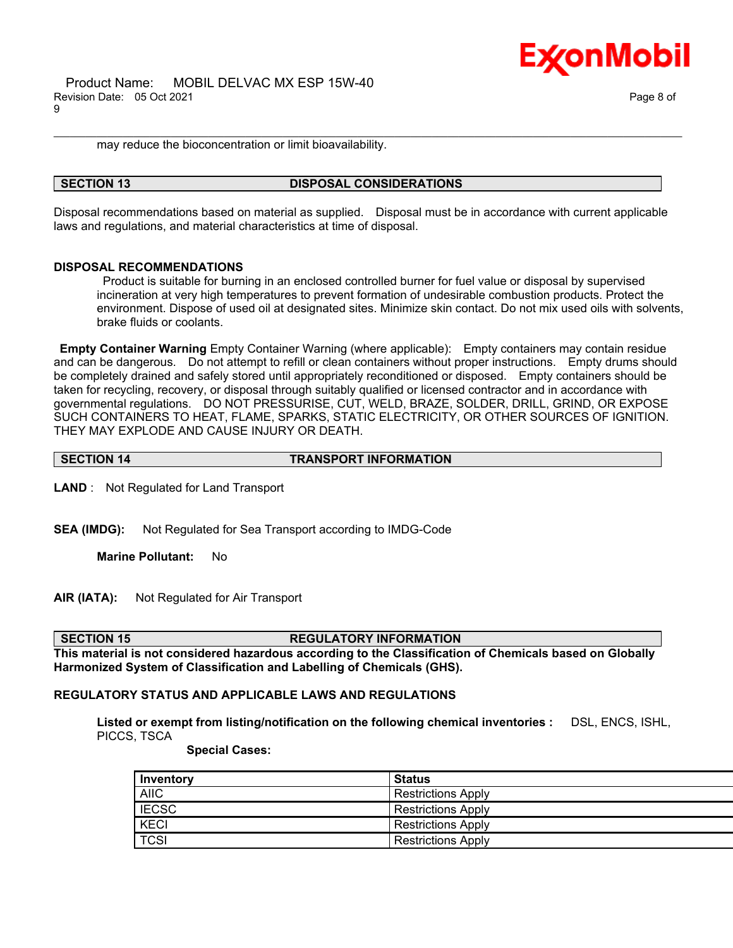Product Name: MOBIL DELVAC MX ESP 15W-40 Revision Date: 05 Oct 2021 Page 8 of 9



may reduce the bioconcentration or limit bioavailability.

#### **SECTION 13 DISPOSAL CONSIDERATIONS**

Disposal recommendations based on material as supplied. Disposal must be in accordance with current applicable laws and regulations, and material characteristics at time of disposal.

\_\_\_\_\_\_\_\_\_\_\_\_\_\_\_\_\_\_\_\_\_\_\_\_\_\_\_\_\_\_\_\_\_\_\_\_\_\_\_\_\_\_\_\_\_\_\_\_\_\_\_\_\_\_\_\_\_\_\_\_\_\_\_\_\_\_\_\_\_\_\_\_\_\_\_\_\_\_\_\_\_\_\_\_\_\_\_\_\_\_\_\_\_\_\_\_\_\_\_\_\_\_\_\_\_\_\_\_\_\_\_\_\_\_\_\_\_\_

#### **DISPOSAL RECOMMENDATIONS**

Product is suitable for burning in an enclosed controlled burner for fuel value or disposal by supervised incineration at very high temperatures to prevent formation of undesirable combustion products. Protect the environment. Dispose of used oil at designated sites. Minimize skin contact. Do not mix used oils with solvents, brake fluids or coolants.

**Empty Container Warning** Empty Container Warning (where applicable): Empty containers may contain residue and can be dangerous. Do not attempt to refill or clean containers without proper instructions. Empty drums should be completely drained and safely stored until appropriately reconditioned or disposed. Empty containers should be taken for recycling, recovery, or disposal through suitably qualified or licensed contractor and in accordance with governmental regulations. DO NOT PRESSURISE, CUT, WELD, BRAZE, SOLDER, DRILL, GRIND, OR EXPOSE SUCH CONTAINERS TO HEAT, FLAME, SPARKS, STATIC ELECTRICITY, OR OTHER SOURCES OF IGNITION. THEY MAY EXPLODE AND CAUSE INJURY OR DEATH.

**SECTION 14 TRANSPORT INFORMATION**

**LAND** : Not Regulated for Land Transport

**SEA (IMDG):** Not Regulated for Sea Transport according to IMDG-Code

**Marine Pollutant:** No

**AIR (IATA):** Not Regulated for Air Transport

**SECTION 15 REGULATORY INFORMATION**

**This material is not considered hazardous according to the Classification of Chemicals based on Globally Harmonized System of Classification and Labelling of Chemicals (GHS).**

### **REGULATORY STATUS AND APPLICABLE LAWS AND REGULATIONS**

**Listed or exempt from listing/notification on the following chemical inventories :** DSL, ENCS, ISHL, PICCS, TSCA

 **Special Cases:**

| Inventory    | <b>Status</b>             |
|--------------|---------------------------|
| <b>AIIC</b>  | <b>Restrictions Apply</b> |
| <b>IECSC</b> | <b>Restrictions Apply</b> |
| <b>KECI</b>  | <b>Restrictions Apply</b> |
| <b>TCSI</b>  | <b>Restrictions Apply</b> |